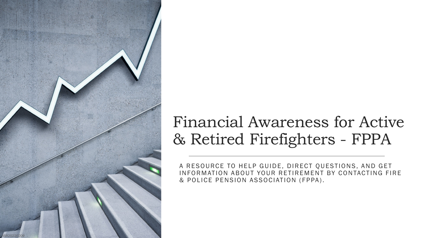

### Financial Awareness for Active & Retired Firefighters - FPPA

A RESOURCE TO HELP GUIDE, DIRECT QUESTIONS, AND GET INFORMATION ABOUT YOUR RETIREMENT BY CONTACTING FIRE & POLICE PENSION ASSOCIATION (FPPA).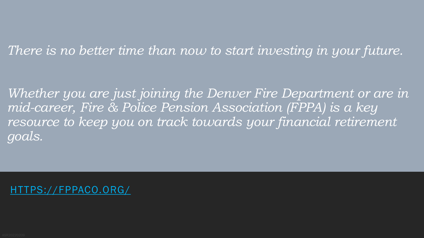### *There is no better time than now to start investing in your future.*

*Whether you are just joining the Denver Fire Department or are in mid-career, Fire & Police Pension Association (FPPA) is a key resource to keep you on track towards your financial retirement goals.*

TPS://FPPACO.ORG/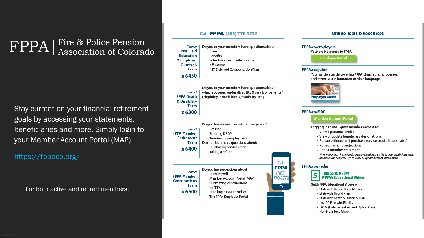## FPPA | Fire & Police Pension<br>Association of Colorado

Stay current on your financial retirement goals by accessing your statements, beneficiaries and more. Simply login to your Member Account Portal (MAP).

### https://fppaco.org/

For both active and retired members.

#### Call FPPA (303) 770-3772

Contact Do you or your members have questions about:

#### **FPPA Field Education**

& Employer

Outreach

- Affiliations
- 457 Deferred Compensation Plan

Contact Team

x 6300

Do you or your members have questions about what is covered under disability & survivor benefits? (Eligibility, benefit levels, taxability, etc.)

| Contact<br>'PA Member<br>Retirement<br><b>Team</b><br>x 6400 | Do you have a member within two year of:<br>• Retiring<br>• Entering DROP<br>• Terminating employment<br>Do members have questions about:<br>· Purchasing service credit<br>• Taking a refund | Call                            |
|--------------------------------------------------------------|-----------------------------------------------------------------------------------------------------------------------------------------------------------------------------------------------|---------------------------------|
| Contact<br>'PA Member<br>ntributions                         | Do you have questions about:<br>• FPPA Payroll<br>• Member Account Portal (MAP)                                                                                                               | <b>FPPA</b><br>(303)<br>70-3772 |

• Submitting contributions

x 6500

• The FPPA Employer Portal

#### FPPA.co/employers

Your online access to FPPA.

**Employer Portal** 

#### FPPA.co/guide

Your written quide covering FPPA plans, rules, processes, and other FAQ information in plain language.

**Online Tools & Resources** 



#### **FPPA.co/MAP**

#### **MemberAccountPortal**

Logging in to MAP gives members access to:

- View a personal profile
- View or update beneficiary designations
- · Run an estimate and purchase service credit (if applicable)
- · Run retirement projections
- Print a member statement

\*A member must have a registered email address on file to create a MAP account. Members can contact FPPA to verify or update account information.

#### FPPA.co/media

#### **THINGS TO KNOW FPPA** Educational Videos

Quick FPPA Educational Videos on:

- · Statewide Defined Benefit Plan
- · Statewide Hybrid Plan
- 
- 
- 
- 

• Plans • Benefits

· Scheduling an on-site meeting

Team

#### x 6450

**FPPA Death** & Disability

**FPPA** 

**FPPA** Contr Team

- to FPPA
- 

• Enrolling a new member

Call **PPA** (303)

 $\circ$ 

5

- 
- 
- · Statewide Death & Disability Plan

+ 457 DC Plan with Fidelity

- DROP (Deferred Retirement Option Plan)
- Naming a Beneficiary